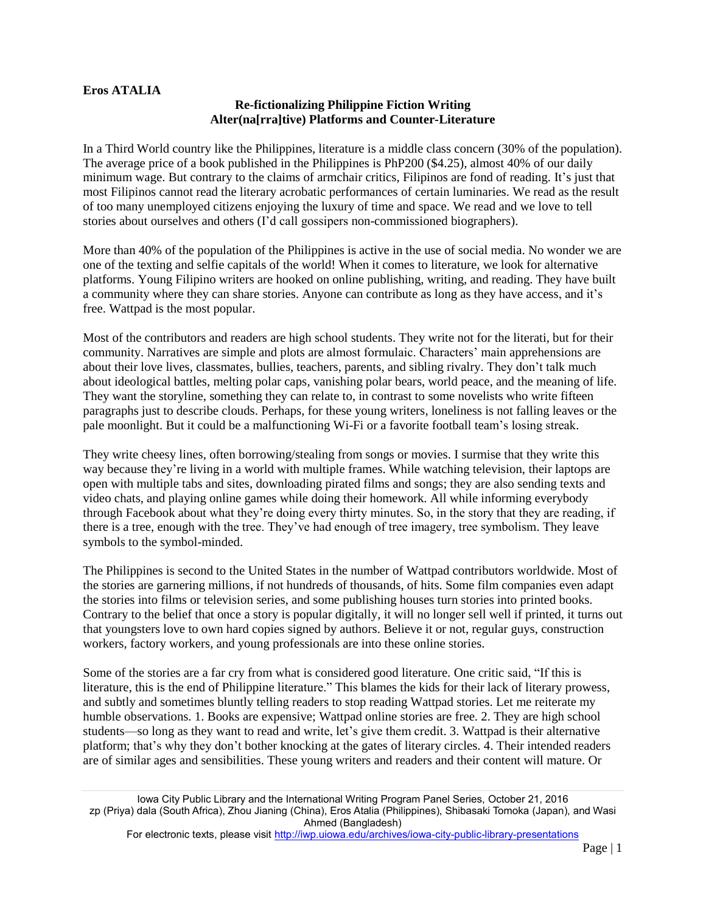## **Eros ATALIA**

## **Re-fictionalizing Philippine Fiction Writing Alter(na[rra]tive) Platforms and Counter-Literature**

In a Third World country like the Philippines, literature is a middle class concern (30% of the population). The average price of a book published in the Philippines is PhP200 (\$4.25), almost 40% of our daily minimum wage. But contrary to the claims of armchair critics, Filipinos are fond of reading. It's just that most Filipinos cannot read the literary acrobatic performances of certain luminaries. We read as the result of too many unemployed citizens enjoying the luxury of time and space. We read and we love to tell stories about ourselves and others (I'd call gossipers non-commissioned biographers).

More than 40% of the population of the Philippines is active in the use of social media. No wonder we are one of the texting and selfie capitals of the world! When it comes to literature, we look for alternative platforms. Young Filipino writers are hooked on online publishing, writing, and reading. They have built a community where they can share stories. Anyone can contribute as long as they have access, and it's free. Wattpad is the most popular.

Most of the contributors and readers are high school students. They write not for the literati, but for their community. Narratives are simple and plots are almost formulaic. Characters' main apprehensions are about their love lives, classmates, bullies, teachers, parents, and sibling rivalry. They don't talk much about ideological battles, melting polar caps, vanishing polar bears, world peace, and the meaning of life. They want the storyline, something they can relate to, in contrast to some novelists who write fifteen paragraphs just to describe clouds. Perhaps, for these young writers, loneliness is not falling leaves or the pale moonlight. But it could be a malfunctioning Wi-Fi or a favorite football team's losing streak.

They write cheesy lines, often borrowing/stealing from songs or movies. I surmise that they write this way because they're living in a world with multiple frames. While watching television, their laptops are open with multiple tabs and sites, downloading pirated films and songs; they are also sending texts and video chats, and playing online games while doing their homework. All while informing everybody through Facebook about what they're doing every thirty minutes. So, in the story that they are reading, if there is a tree, enough with the tree. They've had enough of tree imagery, tree symbolism. They leave symbols to the symbol-minded.

The Philippines is second to the United States in the number of Wattpad contributors worldwide. Most of the stories are garnering millions, if not hundreds of thousands, of hits. Some film companies even adapt the stories into films or television series, and some publishing houses turn stories into printed books. Contrary to the belief that once a story is popular digitally, it will no longer sell well if printed, it turns out that youngsters love to own hard copies signed by authors. Believe it or not, regular guys, construction workers, factory workers, and young professionals are into these online stories.

Some of the stories are a far cry from what is considered good literature. One critic said, "If this is literature, this is the end of Philippine literature." This blames the kids for their lack of literary prowess, and subtly and sometimes bluntly telling readers to stop reading Wattpad stories. Let me reiterate my humble observations. 1. Books are expensive; Wattpad online stories are free. 2. They are high school students—so long as they want to read and write, let's give them credit. 3. Wattpad is their alternative platform; that's why they don't bother knocking at the gates of literary circles. 4. Their intended readers are of similar ages and sensibilities. These young writers and readers and their content will mature. Or

Iowa City Public Library and the International Writing Program Panel Series, October 21, 2016 zp (Priya) dala (South Africa), Zhou Jianing (China), Eros Atalia (Philippines), Shibasaki Tomoka (Japan), and Wasi Ahmed (Bangladesh)

For electronic texts, please visit<http://iwp.uiowa.edu/archives/iowa-city-public-library-presentations>